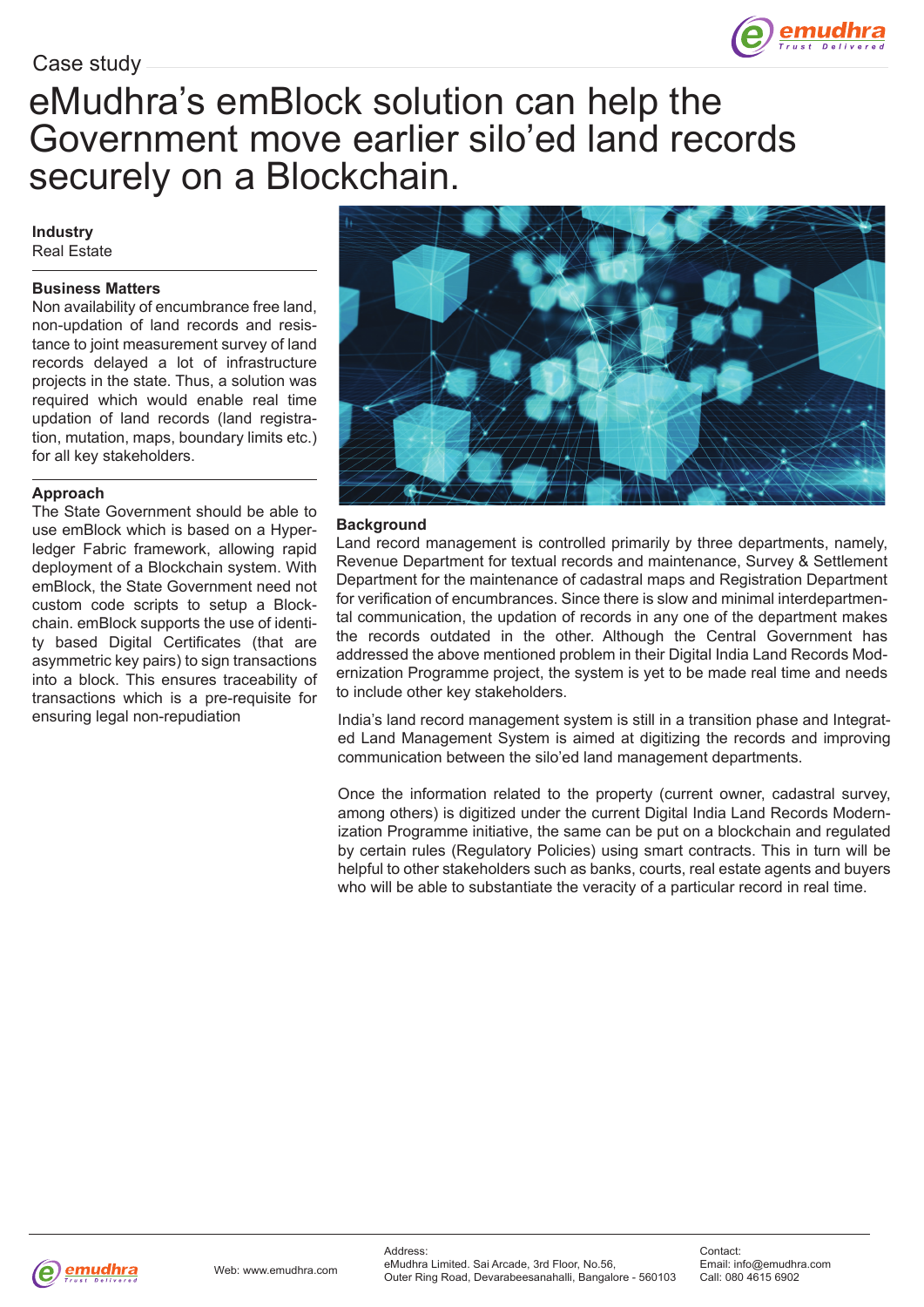

# Case study

# eMudhra's emBlock solution can help the Government move earlier silo'ed land records securely on a Blockchain.

#### **Industry** Real Estate

### **Business Matters**

Non availability of encumbrance free land, non-updation of land records and resistance to joint measurement survey of land records delayed a lot of infrastructure projects in the state. Thus, a solution was required which would enable real time updation of land records (land registration, mutation, maps, boundary limits etc.) for all key stakeholders.

#### **Approach**

The State Government should be able to use emBlock which is based on a Hyperledger Fabric framework, allowing rapid deployment of a Blockchain system. With emBlock, the State Government need not custom code scripts to setup a Blockchain. emBlock supports the use of identity based Digital Certificates (that are asymmetric key pairs) to sign transactions into a block. This ensures traceability of transactions which is a pre-requisite for ensuring legal non-repudiation



### **Background**

Land record management is controlled primarily by three departments, namely, Revenue Department for textual records and maintenance, Survey & Settlement Department for the maintenance of cadastral maps and Registration Department for verification of encumbrances. Since there is slow and minimal interdepartmental communication, the updation of records in any one of the department makes the records outdated in the other. Although the Central Government has addressed the above mentioned problem in their Digital India Land Records Modernization Programme project, the system is yet to be made real time and needs to include other key stakeholders.

India's land record management system is still in a transition phase and Integrated Land Management System is aimed at digitizing the records and improving communication between the silo'ed land management departments.

Once the information related to the property (current owner, cadastral survey, among others) is digitized under the current Digital India Land Records Modernization Programme initiative, the same can be put on a blockchain and regulated by certain rules (Regulatory Policies) using smart contracts. This in turn will be helpful to other stakeholders such as banks, courts, real estate agents and buyers who will be able to substantiate the veracity of a particular record in real time.

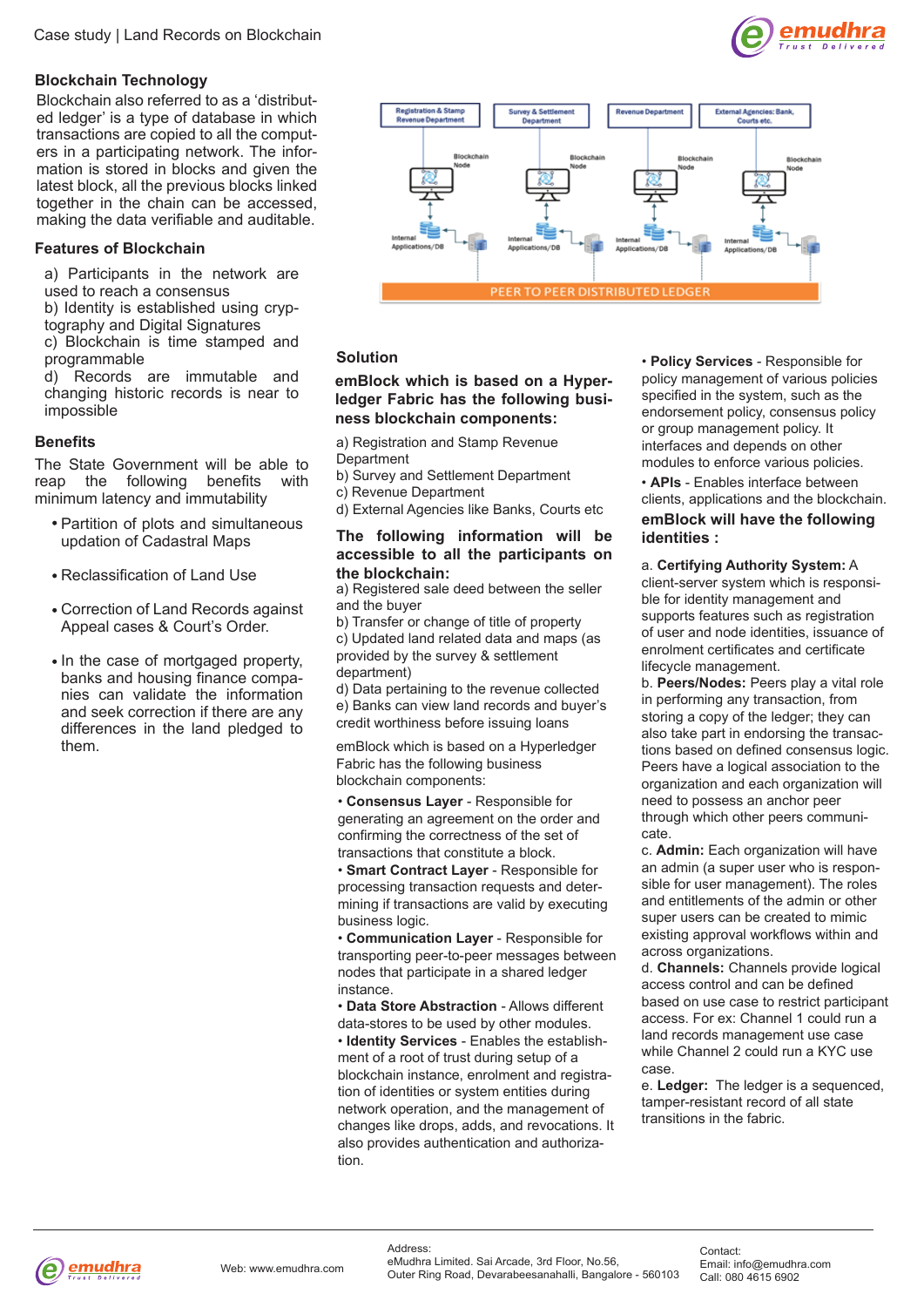# **Blockchain Technology**

Blockchain also referred to as a 'distributed ledger' is a type of database in which transactions are copied to all the computers in a participating network. The information is stored in blocks and given the latest block, all the previous blocks linked together in the chain can be accessed, making the data verifiable and auditable.

## **Features of Blockchain**

a) Participants in the network are used to reach a consensus

b) Identity is established using cryptography and Digital Signatures

c) Blockchain is time stamped and programmable

d) Records are immutable and changing historic records is near to impossible

### **Benefits**

The State Government will be able to reap the following benefits with minimum latency and immutability

- Partition of plots and simultaneous updation of Cadastral Maps
- Reclassification of Land Use
- Correction of Land Records against Appeal cases & Court's Order.
- In the case of mortgaged property, banks and housing finance companies can validate the information and seek correction if there are any differences in the land pledged to them.



# **Solution**

#### **emBlock which is based on a Hyperledger Fabric has the following business blockchain components:**

a) Registration and Stamp Revenue **Department** 

- b) Survey and Settlement Department
- c) Revenue Department
- d) External Agencies like Banks, Courts etc

#### **The following information will be accessible to all the participants on the blockchain:**

a) Registered sale deed between the seller and the buyer

- b) Transfer or change of title of property
- c) Updated land related data and maps (as provided by the survey & settlement department)

d) Data pertaining to the revenue collected e) Banks can view land records and buyer's credit worthiness before issuing loans

emBlock which is based on a Hyperledger Fabric has the following business blockchain components:

• **Consensus Layer** - Responsible for generating an agreement on the order and confirming the correctness of the set of transactions that constitute a block.

• **Smart Contract Layer** - Responsible for processing transaction requests and determining if transactions are valid by executing business logic.

• **Communication Layer** - Responsible for transporting peer-to-peer messages between nodes that participate in a shared ledger instance.

• **Data Store Abstraction** - Allows different data-stores to be used by other modules. • **Identity Services** - Enables the establishment of a root of trust during setup of a blockchain instance, enrolment and registration of identities or system entities during network operation, and the management of changes like drops, adds, and revocations. It also provides authentication and authorization.

• **Policy Services** - Responsible for policy management of various policies specified in the system, such as the endorsement policy, consensus policy or group management policy. It interfaces and depends on other modules to enforce various policies.

• **APIs** - Enables interface between clients, applications and the blockchain.

**emBlock will have the following identities :**

#### a. **Certifying Authority System:** A

client-server system which is responsible for identity management and supports features such as registration of user and node identities, issuance of enrolment certificates and certificate lifecycle management.

b. **Peers/Nodes:** Peers play a vital role in performing any transaction, from storing a copy of the ledger; they can also take part in endorsing the transactions based on defined consensus logic. Peers have a logical association to the organization and each organization will need to possess an anchor peer through which other peers communicate.

c. **Admin:** Each organization will have an admin (a super user who is responsible for user management). The roles and entitlements of the admin or other super users can be created to mimic existing approval workflows within and across organizations.

d. **Channels:** Channels provide logical access control and can be defined based on use case to restrict participant access. For ex: Channel 1 could run a land records management use case while Channel 2 could run a KYC use case.

e. **Ledger:** The ledger is a sequenced, tamper-resistant record of all state transitions in the fabric.